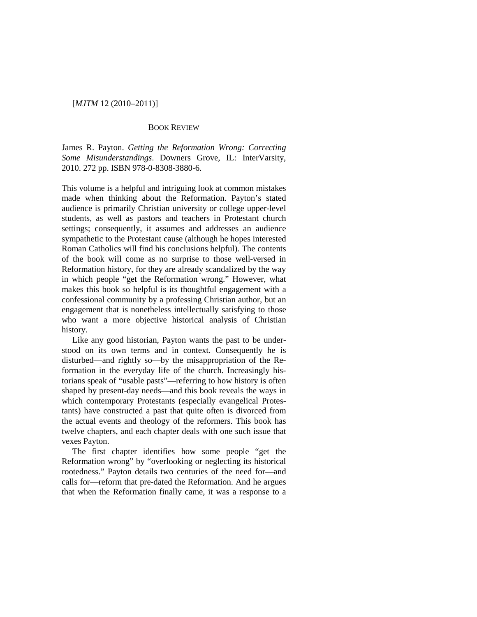# [*MJTM* 12 (2010–2011)]

## BOOK REVIEW

James R. Payton. *Getting the Reformation Wrong: Correcting Some Misunderstandings*. Downers Grove, IL: InterVarsity, 2010. 272 pp. ISBN 978-0-8308-3880-6.

This volume is a helpful and intriguing look at common mistakes made when thinking about the Reformation. Payton's stated audience is primarily Christian university or college upper-level students, as well as pastors and teachers in Protestant church settings; consequently, it assumes and addresses an audience sympathetic to the Protestant cause (although he hopes interested Roman Catholics will find his conclusions helpful). The contents of the book will come as no surprise to those well-versed in Reformation history, for they are already scandalized by the way in which people "get the Reformation wrong." However, what makes this book so helpful is its thoughtful engagement with a confessional community by a professing Christian author, but an engagement that is nonetheless intellectually satisfying to those who want a more objective historical analysis of Christian history.

Like any good historian, Payton wants the past to be understood on its own terms and in context. Consequently he is disturbed—and rightly so—by the misappropriation of the Reformation in the everyday life of the church. Increasingly historians speak of "usable pasts"—referring to how history is often shaped by present-day needs—and this book reveals the ways in which contemporary Protestants (especially evangelical Protestants) have constructed a past that quite often is divorced from the actual events and theology of the reformers. This book has twelve chapters, and each chapter deals with one such issue that vexes Payton.

The first chapter identifies how some people "get the Reformation wrong" by "overlooking or neglecting its historical rootedness." Payton details two centuries of the need for—and calls for—reform that pre-dated the Reformation. And he argues that when the Reformation finally came, it was a response to a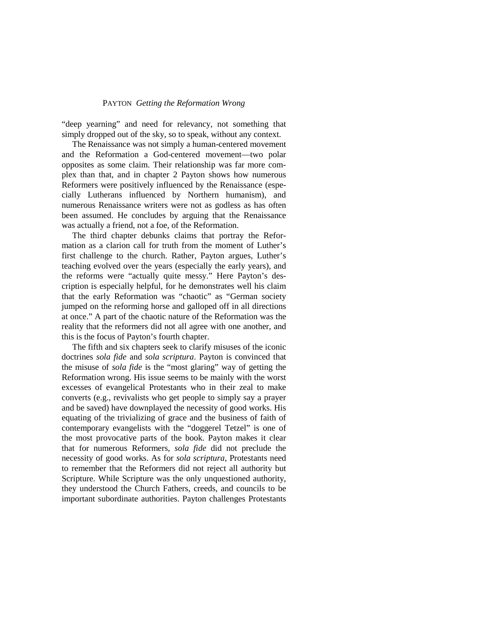### PAYTON *Getting the Reformation Wrong*

"deep yearning" and need for relevancy, not something that simply dropped out of the sky, so to speak, without any context.

The Renaissance was not simply a human-centered movement and the Reformation a God-centered movement—two polar opposites as some claim. Their relationship was far more complex than that, and in chapter 2 Payton shows how numerous Reformers were positively influenced by the Renaissance (especially Lutherans influenced by Northern humanism), and numerous Renaissance writers were not as godless as has often been assumed. He concludes by arguing that the Renaissance was actually a friend, not a foe, of the Reformation.

The third chapter debunks claims that portray the Reformation as a clarion call for truth from the moment of Luther's first challenge to the church. Rather, Payton argues, Luther's teaching evolved over the years (especially the early years), and the reforms were "actually quite messy." Here Payton's description is especially helpful, for he demonstrates well his claim that the early Reformation was "chaotic" as "German society jumped on the reforming horse and galloped off in all directions at once." A part of the chaotic nature of the Reformation was the reality that the reformers did not all agree with one another, and this is the focus of Payton's fourth chapter.

The fifth and six chapters seek to clarify misuses of the iconic doctrines *sola fide* and *sola scriptura*. Payton is convinced that the misuse of *sola fide* is the "most glaring" way of getting the Reformation wrong. His issue seems to be mainly with the worst excesses of evangelical Protestants who in their zeal to make converts (e.g., revivalists who get people to simply say a prayer and be saved) have downplayed the necessity of good works. His equating of the trivializing of grace and the business of faith of contemporary evangelists with the "doggerel Tetzel" is one of the most provocative parts of the book. Payton makes it clear that for numerous Reformers, *sola fide* did not preclude the necessity of good works. As for *sola scriptura*, Protestants need to remember that the Reformers did not reject all authority but Scripture. While Scripture was the only unquestioned authority, they understood the Church Fathers, creeds, and councils to be important subordinate authorities. Payton challenges Protestants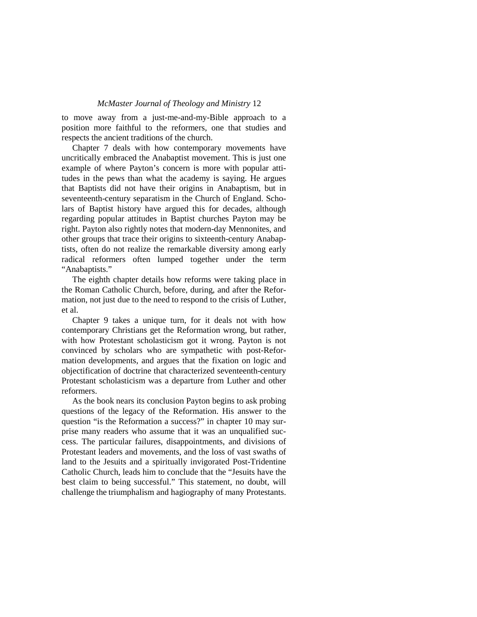### *McMaster Journal of Theology and Ministry* 12

to move away from a just-me-and-my-Bible approach to a position more faithful to the reformers, one that studies and respects the ancient traditions of the church.

Chapter 7 deals with how contemporary movements have uncritically embraced the Anabaptist movement. This is just one example of where Payton's concern is more with popular attitudes in the pews than what the academy is saying. He argues that Baptists did not have their origins in Anabaptism, but in seventeenth-century separatism in the Church of England. Scholars of Baptist history have argued this for decades, although regarding popular attitudes in Baptist churches Payton may be right. Payton also rightly notes that modern-day Mennonites, and other groups that trace their origins to sixteenth-century Anabaptists, often do not realize the remarkable diversity among early radical reformers often lumped together under the term "Anabaptists."

The eighth chapter details how reforms were taking place in the Roman Catholic Church, before, during, and after the Reformation, not just due to the need to respond to the crisis of Luther, et al.

Chapter 9 takes a unique turn, for it deals not with how contemporary Christians get the Reformation wrong, but rather, with how Protestant scholasticism got it wrong. Payton is not convinced by scholars who are sympathetic with post-Reformation developments, and argues that the fixation on logic and objectification of doctrine that characterized seventeenth-century Protestant scholasticism was a departure from Luther and other reformers.

As the book nears its conclusion Payton begins to ask probing questions of the legacy of the Reformation. His answer to the question "is the Reformation a success?" in chapter 10 may surprise many readers who assume that it was an unqualified success. The particular failures, disappointments, and divisions of Protestant leaders and movements, and the loss of vast swaths of land to the Jesuits and a spiritually invigorated Post-Tridentine Catholic Church, leads him to conclude that the "Jesuits have the best claim to being successful." This statement, no doubt, will challenge the triumphalism and hagiography of many Protestants.